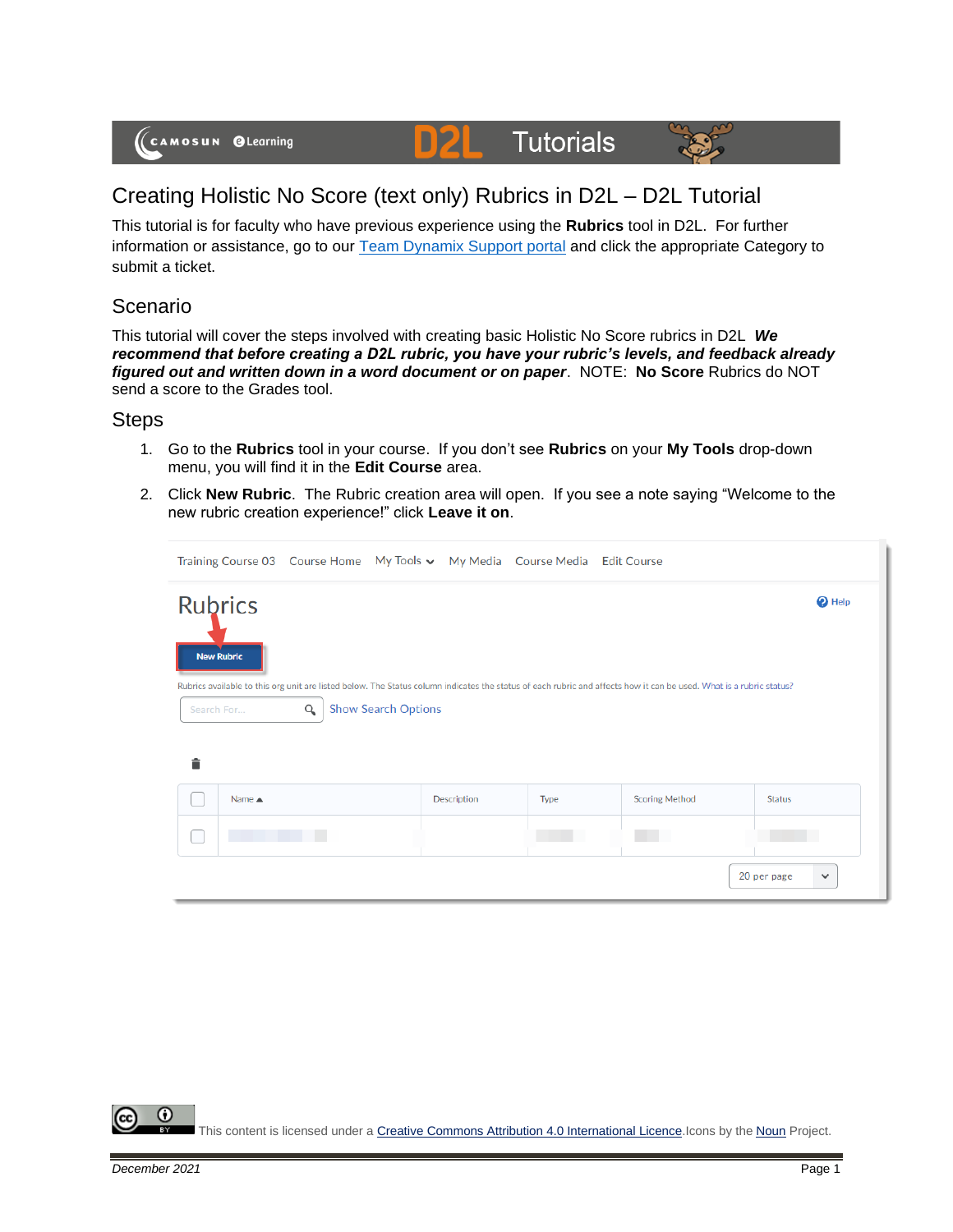#### DZI **Tutorials**



# Creating Holistic No Score (text only) Rubrics in D2L – D2L Tutorial

This tutorial is for faculty who have previous experience using the **Rubrics** tool in D2L. For further information or assistance, go to our [Team Dynamix Support portal](https://camosun.teamdynamix.com/TDClient/67/Portal/Requests/ServiceCatalog?CategoryID=523) and click the appropriate Category to submit a ticket.

### Scenario

This tutorial will cover the steps involved with creating basic Holistic No Score rubrics in D2L *We recommend that before creating a D2L rubric, you have your rubric's levels, and feedback already figured out and written down in a word document or on paper*. NOTE: **No Score** Rubrics do NOT send a score to the Grades tool.

#### **Steps**

- 1. Go to the **Rubrics** tool in your course. If you don't see **Rubrics** on your **My Tools** drop-down menu, you will find it in the **Edit Course** area.
- 2. Click **New Rubric**. The Rubric creation area will open. If you see a note saying "Welcome to the new rubric creation experience!" click **Leave it on**.



⋒ This content is licensed under [a Creative Commons Attribution 4.0 International Licence.I](https://creativecommons.org/licenses/by/4.0/)cons by the [Noun](https://creativecommons.org/website-icons/) Project.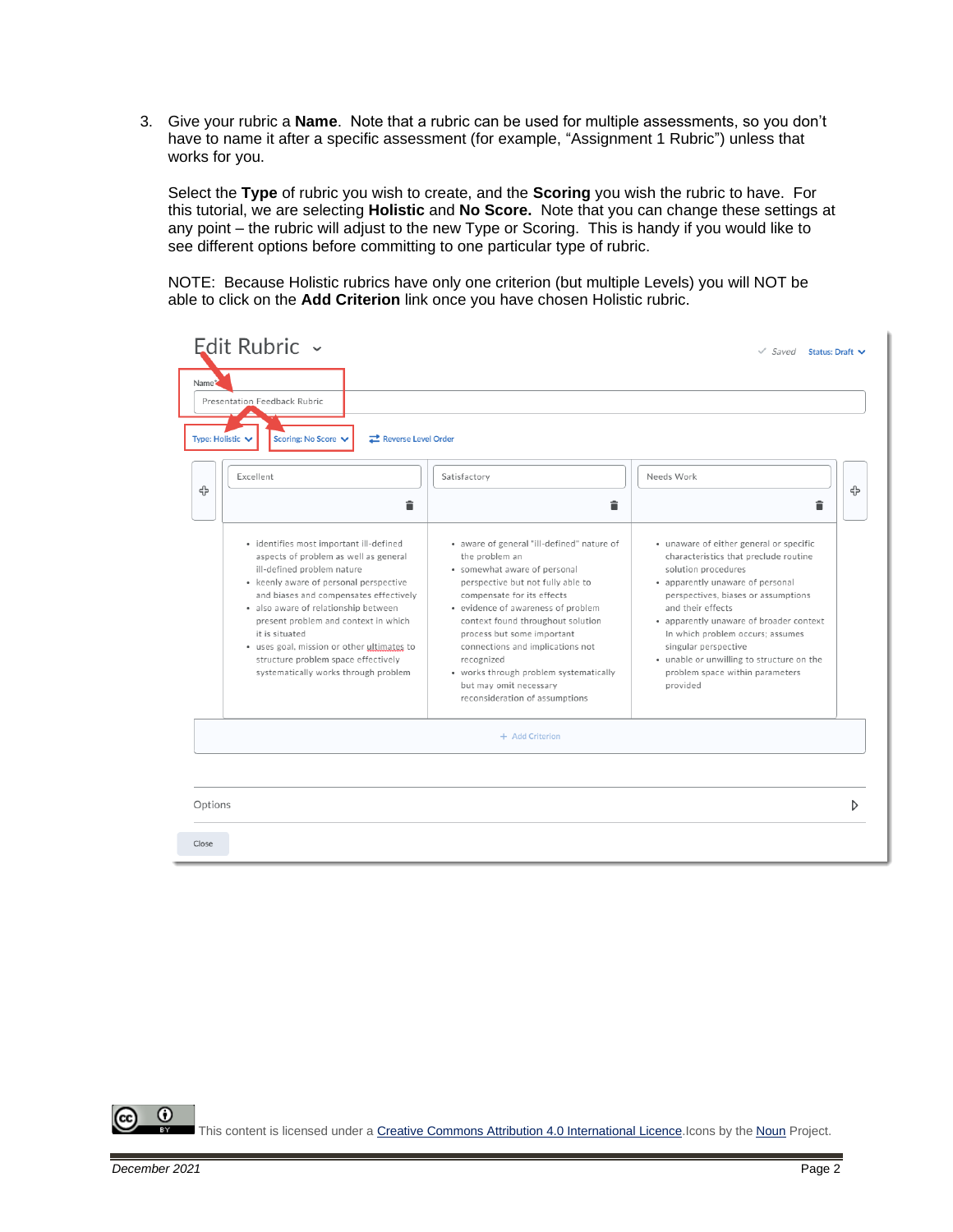3. Give your rubric a **Name**. Note that a rubric can be used for multiple assessments, so you don't have to name it after a specific assessment (for example, "Assignment 1 Rubric") unless that works for you.

Select the **Type** of rubric you wish to create, and the **Scoring** you wish the rubric to have. For this tutorial, we are selecting **Holistic** and **No Score.** Note that you can change these settings at any point – the rubric will adjust to the new Type or Scoring. This is handy if you would like to see different options before committing to one particular type of rubric.

NOTE: Because Holistic rubrics have only one criterion (but multiple Levels) you will NOT be able to click on the **Add Criterion** link once you have chosen Holistic rubric.

| Edit Rubric ~<br>Name*<br>Presentation Feedback Rubric<br>Scoring: No Score V<br>Reverse Level Order<br>Type: Holistic ↓                                                                                                                                                                                                                                                                                                          |                                                                                                                                                                                                                                                                                                                                                                                                                                  | $\checkmark$ Saved Status: Draft $\checkmark$                                                                                                                                                                                                                                                                                                                                                              |
|-----------------------------------------------------------------------------------------------------------------------------------------------------------------------------------------------------------------------------------------------------------------------------------------------------------------------------------------------------------------------------------------------------------------------------------|----------------------------------------------------------------------------------------------------------------------------------------------------------------------------------------------------------------------------------------------------------------------------------------------------------------------------------------------------------------------------------------------------------------------------------|------------------------------------------------------------------------------------------------------------------------------------------------------------------------------------------------------------------------------------------------------------------------------------------------------------------------------------------------------------------------------------------------------------|
| Excellent<br>╬<br>â                                                                                                                                                                                                                                                                                                                                                                                                               | Satisfactory<br>â                                                                                                                                                                                                                                                                                                                                                                                                                | Needs Work<br>╬<br>â                                                                                                                                                                                                                                                                                                                                                                                       |
| · identifies most important ill-defined<br>aspects of problem as well as general<br>ill-defined problem nature<br>• keenly aware of personal perspective<br>and biases and compensates effectively<br>· also aware of relationship between<br>present problem and context in which<br>it is situated<br>· uses goal, mission or other ultimates to<br>structure problem space effectively<br>systematically works through problem | · aware of general "ill-defined" nature of<br>the problem an<br>· somewhat aware of personal<br>perspective but not fully able to<br>compensate for its effects<br>• evidence of awareness of problem<br>context found throughout solution<br>process but some important<br>connections and implications not<br>recognized<br>• works through problem systematically<br>but may omit necessary<br>reconsideration of assumptions | · unaware of either general or specific<br>characteristics that preclude routine<br>solution procedures<br>• apparently unaware of personal<br>perspectives, biases or assumptions<br>and their effects<br>• apparently unaware of broader context<br>In which problem occurs; assumes<br>singular perspective<br>. unable or unwilling to structure on the<br>problem space within parameters<br>provided |
|                                                                                                                                                                                                                                                                                                                                                                                                                                   | + Add Criterion                                                                                                                                                                                                                                                                                                                                                                                                                  |                                                                                                                                                                                                                                                                                                                                                                                                            |
| Options                                                                                                                                                                                                                                                                                                                                                                                                                           |                                                                                                                                                                                                                                                                                                                                                                                                                                  | D                                                                                                                                                                                                                                                                                                                                                                                                          |

⋒ This content is licensed under [a Creative Commons Attribution 4.0 International Licence.I](https://creativecommons.org/licenses/by/4.0/)cons by the [Noun](https://creativecommons.org/website-icons/) Project.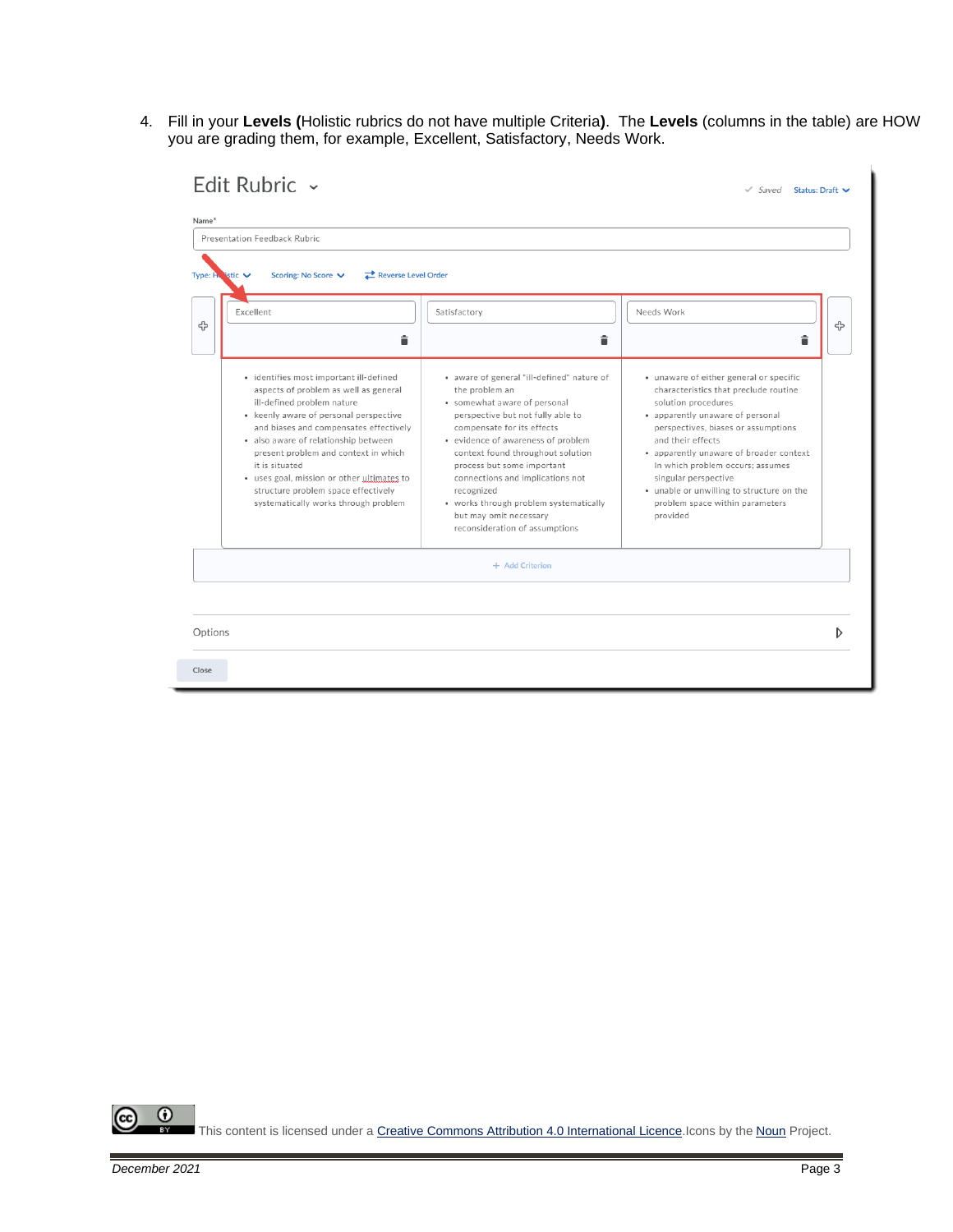4. Fill in your **Levels (**Holistic rubrics do not have multiple Criteria**)**. The **Levels** (columns in the table) are HOW you are grading them, for example, Excellent, Satisfactory, Needs Work.

| Presentation Feedback Rubric |                                                                                                                                                                                                                                                                                                                                                                                                                 |                                                                                                                                                                                                                                                                                                                                                                                                                                  |                                                                                                                                                                                                                                                                                                                                                                                                            |
|------------------------------|-----------------------------------------------------------------------------------------------------------------------------------------------------------------------------------------------------------------------------------------------------------------------------------------------------------------------------------------------------------------------------------------------------------------|----------------------------------------------------------------------------------------------------------------------------------------------------------------------------------------------------------------------------------------------------------------------------------------------------------------------------------------------------------------------------------------------------------------------------------|------------------------------------------------------------------------------------------------------------------------------------------------------------------------------------------------------------------------------------------------------------------------------------------------------------------------------------------------------------------------------------------------------------|
| Type: $H$ istic $\vee$       | Reverse Level Order<br>Scoring: No Score V                                                                                                                                                                                                                                                                                                                                                                      |                                                                                                                                                                                                                                                                                                                                                                                                                                  |                                                                                                                                                                                                                                                                                                                                                                                                            |
| Excellent                    |                                                                                                                                                                                                                                                                                                                                                                                                                 | Satisfactory                                                                                                                                                                                                                                                                                                                                                                                                                     | Needs Work                                                                                                                                                                                                                                                                                                                                                                                                 |
|                              | â                                                                                                                                                                                                                                                                                                                                                                                                               | â                                                                                                                                                                                                                                                                                                                                                                                                                                | â                                                                                                                                                                                                                                                                                                                                                                                                          |
| it is situated               | · identifies most important ill-defined<br>aspects of problem as well as general<br>ill-defined problem nature<br>• keenly aware of personal perspective<br>and biases and compensates effectively<br>· also aware of relationship between<br>present problem and context in which<br>· uses goal, mission or other ultimates to<br>structure problem space effectively<br>systematically works through problem | · aware of general "ill-defined" nature of<br>the problem an<br>· somewhat aware of personal<br>perspective but not fully able to<br>compensate for its effects<br>· evidence of awareness of problem<br>context found throughout solution<br>process but some important<br>connections and implications not<br>recognized<br>• works through problem systematically<br>but may omit necessary<br>reconsideration of assumptions | · unaware of either general or specific<br>characteristics that preclude routine<br>solution procedures<br>· apparently unaware of personal<br>perspectives, biases or assumptions<br>and their effects<br>• apparently unaware of broader context<br>In which problem occurs; assumes<br>singular perspective<br>. unable or unwilling to structure on the<br>problem space within parameters<br>provided |
|                              |                                                                                                                                                                                                                                                                                                                                                                                                                 | + Add Criterion                                                                                                                                                                                                                                                                                                                                                                                                                  |                                                                                                                                                                                                                                                                                                                                                                                                            |
|                              |                                                                                                                                                                                                                                                                                                                                                                                                                 |                                                                                                                                                                                                                                                                                                                                                                                                                                  |                                                                                                                                                                                                                                                                                                                                                                                                            |
| Options                      |                                                                                                                                                                                                                                                                                                                                                                                                                 |                                                                                                                                                                                                                                                                                                                                                                                                                                  |                                                                                                                                                                                                                                                                                                                                                                                                            |

 $\overline{\odot}$ (cc This content is licensed under [a Creative Commons Attribution 4.0 International Licence.I](https://creativecommons.org/licenses/by/4.0/)cons by the [Noun](https://creativecommons.org/website-icons/) Project.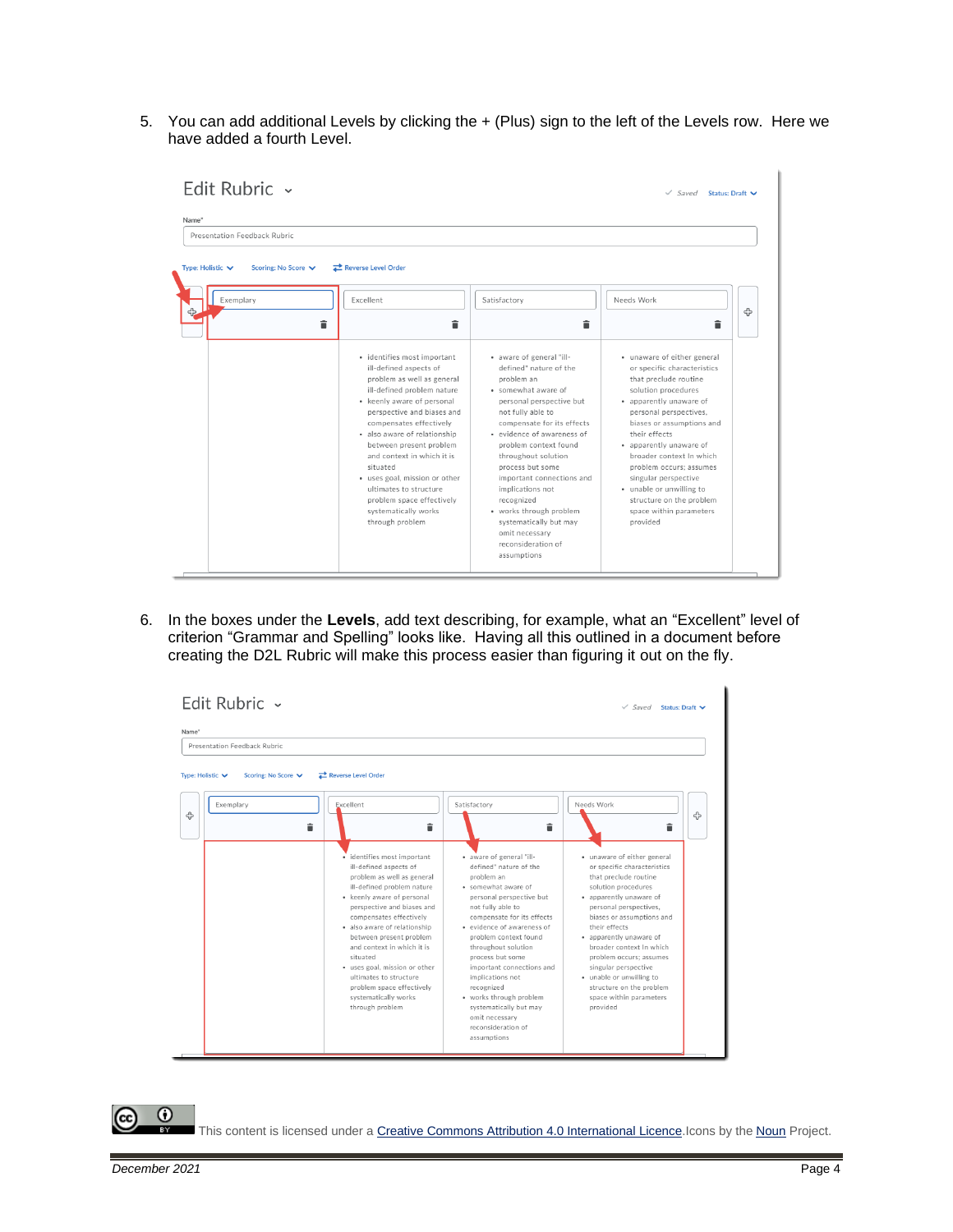5. You can add additional Levels by clicking the + (Plus) sign to the left of the Levels row. Here we have added a fourth Level.

| Name*<br>Presentation Feedback Rubric                     |                                                                                                                                                                                                                                                                                                                                                                                                                                                  |                                                                                                                                                                                                                                                                                                                                                                                                                                                     |                                                                                                                                                                                                                                                                                                                                                                                                                        |
|-----------------------------------------------------------|--------------------------------------------------------------------------------------------------------------------------------------------------------------------------------------------------------------------------------------------------------------------------------------------------------------------------------------------------------------------------------------------------------------------------------------------------|-----------------------------------------------------------------------------------------------------------------------------------------------------------------------------------------------------------------------------------------------------------------------------------------------------------------------------------------------------------------------------------------------------------------------------------------------------|------------------------------------------------------------------------------------------------------------------------------------------------------------------------------------------------------------------------------------------------------------------------------------------------------------------------------------------------------------------------------------------------------------------------|
| Type: Holistic $\vee$<br>Scoring: No Score V<br>Exemplary | Reverse Level Order<br>Excellent<br>â<br>â                                                                                                                                                                                                                                                                                                                                                                                                       | Satisfactory<br>â                                                                                                                                                                                                                                                                                                                                                                                                                                   | Needs Work<br>╬<br>Ê                                                                                                                                                                                                                                                                                                                                                                                                   |
|                                                           | · identifies most important<br>ill-defined aspects of<br>problem as well as general<br>ill-defined problem nature<br>• keenly aware of personal<br>perspective and biases and<br>compensates effectively<br>· also aware of relationship<br>between present problem<br>and context in which it is<br>situated<br>· uses goal, mission or other<br>ultimates to structure<br>problem space effectively<br>systematically works<br>through problem | • aware of general "ill-<br>defined" nature of the<br>problem an<br>· somewhat aware of<br>personal perspective but<br>not fully able to<br>compensate for its effects<br>· evidence of awareness of<br>problem context found<br>throughout solution<br>process but some<br>important connections and<br>implications not<br>recognized<br>· works through problem<br>systematically but may<br>omit necessary<br>reconsideration of<br>assumptions | · unaware of either general<br>or specific characteristics<br>that preclude routine<br>solution procedures<br>· apparently unaware of<br>personal perspectives.<br>biases or assumptions and<br>their effects<br>· apparently unaware of<br>broader context In which<br>problem occurs: assumes<br>singular perspective<br>· unable or unwilling to<br>structure on the problem<br>space within parameters<br>provided |

6. In the boxes under the **Levels**, add text describing, for example, what an "Excellent" level of criterion "Grammar and Spelling" looks like. Having all this outlined in a document before creating the D2L Rubric will make this process easier than figuring it out on the fly.

|                  | Edit Rubric $\sim$           |                                                                                                                                                                                                                                                                                                                                                                                                                                                  |                                                                                                                                                                                                                                                                                                                                                                                                                                                     | $\sqrt{S}$ aved<br>Status: Draft ↓                                                                                                                                                                                                                                                                                                                                                                                      |   |
|------------------|------------------------------|--------------------------------------------------------------------------------------------------------------------------------------------------------------------------------------------------------------------------------------------------------------------------------------------------------------------------------------------------------------------------------------------------------------------------------------------------|-----------------------------------------------------------------------------------------------------------------------------------------------------------------------------------------------------------------------------------------------------------------------------------------------------------------------------------------------------------------------------------------------------------------------------------------------------|-------------------------------------------------------------------------------------------------------------------------------------------------------------------------------------------------------------------------------------------------------------------------------------------------------------------------------------------------------------------------------------------------------------------------|---|
| Name*            |                              |                                                                                                                                                                                                                                                                                                                                                                                                                                                  |                                                                                                                                                                                                                                                                                                                                                                                                                                                     |                                                                                                                                                                                                                                                                                                                                                                                                                         |   |
|                  | Presentation Feedback Rubric |                                                                                                                                                                                                                                                                                                                                                                                                                                                  |                                                                                                                                                                                                                                                                                                                                                                                                                                                     |                                                                                                                                                                                                                                                                                                                                                                                                                         |   |
| Type: Holistic V | Scoring: No Score V          | Reverse Level Order                                                                                                                                                                                                                                                                                                                                                                                                                              |                                                                                                                                                                                                                                                                                                                                                                                                                                                     |                                                                                                                                                                                                                                                                                                                                                                                                                         |   |
| ሩ                | Exemplary<br>î               | Excellent<br>î                                                                                                                                                                                                                                                                                                                                                                                                                                   | Satisfactory<br>â                                                                                                                                                                                                                                                                                                                                                                                                                                   | Needs Work<br>î                                                                                                                                                                                                                                                                                                                                                                                                         | ඇ |
|                  |                              | · identifies most important<br>ill-defined aspects of<br>problem as well as general<br>ill-defined problem nature<br>• keenly aware of personal<br>perspective and biases and<br>compensates effectively<br>· also aware of relationship<br>between present problem<br>and context in which it is<br>situated<br>· uses goal, mission or other<br>ultimates to structure<br>problem space effectively<br>systematically works<br>through problem | · aware of general "ill-<br>defined" nature of the<br>problem an<br>· somewhat aware of<br>personal perspective but<br>not fully able to<br>compensate for its effects<br>· evidence of awareness of<br>problem context found<br>throughout solution<br>process but some<br>important connections and<br>implications not<br>recognized<br>· works through problem<br>systematically but may<br>omit necessary<br>reconsideration of<br>assumptions | · unaware of either general<br>or specific characteristics<br>that preclude routine<br>solution procedures<br>· apparently unaware of<br>personal perspectives,<br>biases or assumptions and<br>their effects.<br>· apparently unaware of<br>broader context In which<br>problem occurs: assumes<br>singular perspective<br>· unable or unwilling to<br>structure on the problem<br>space within parameters<br>provided |   |

This content is licensed under [a Creative Commons Attribution 4.0 International Licence.I](https://creativecommons.org/licenses/by/4.0/)cons by the [Noun](https://creativecommons.org/website-icons/) Project.

 $\odot$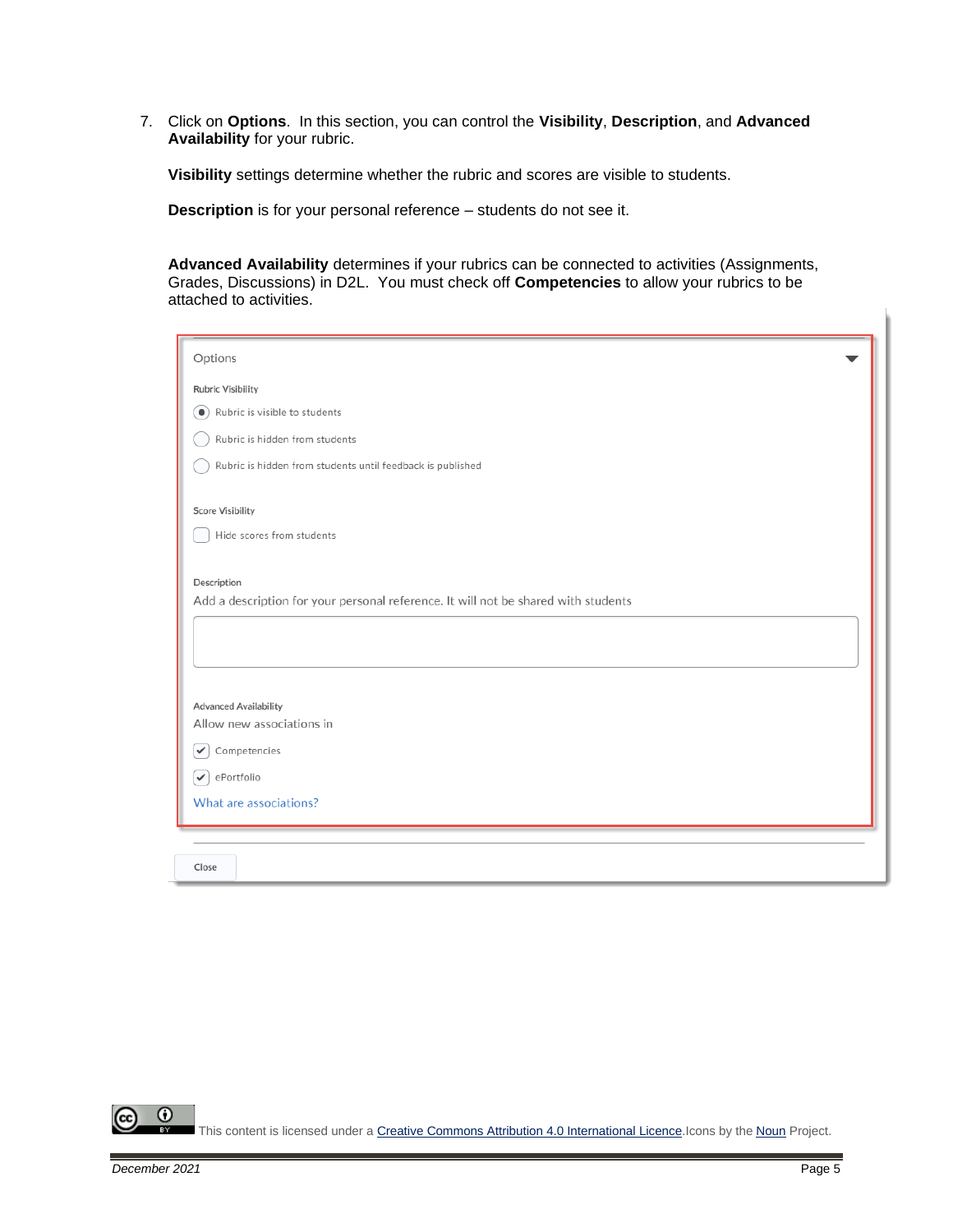7. Click on **Options**. In this section, you can control the **Visibility**, **Description**, and **Advanced Availability** for your rubric.

**Visibility** settings determine whether the rubric and scores are visible to students.

**Description** is for your personal reference – students do not see it.

**Advanced Availability** determines if your rubrics can be connected to activities (Assignments, Grades, Discussions) in D2L. You must check off **Competencies** to allow your rubrics to be attached to activities.

| Options                                                                            |  |  |  |  |  |
|------------------------------------------------------------------------------------|--|--|--|--|--|
| <b>Rubric Visibility</b>                                                           |  |  |  |  |  |
| Rubric is visible to students<br>$\bullet$                                         |  |  |  |  |  |
| Rubric is hidden from students                                                     |  |  |  |  |  |
|                                                                                    |  |  |  |  |  |
| Rubric is hidden from students until feedback is published                         |  |  |  |  |  |
| <b>Score Visibility</b>                                                            |  |  |  |  |  |
| Hide scores from students                                                          |  |  |  |  |  |
|                                                                                    |  |  |  |  |  |
| Description                                                                        |  |  |  |  |  |
| Add a description for your personal reference. It will not be shared with students |  |  |  |  |  |
|                                                                                    |  |  |  |  |  |
|                                                                                    |  |  |  |  |  |
|                                                                                    |  |  |  |  |  |
| <b>Advanced Availability</b>                                                       |  |  |  |  |  |
| Allow new associations in                                                          |  |  |  |  |  |
| Competencies<br>✓                                                                  |  |  |  |  |  |
| ePortfolio<br>$\checkmark$                                                         |  |  |  |  |  |
| What are associations?                                                             |  |  |  |  |  |
|                                                                                    |  |  |  |  |  |
|                                                                                    |  |  |  |  |  |
| Close                                                                              |  |  |  |  |  |

 $\odot$ This content is licensed under [a Creative Commons Attribution 4.0 International Licence.I](https://creativecommons.org/licenses/by/4.0/)cons by the [Noun](https://creativecommons.org/website-icons/) Project.